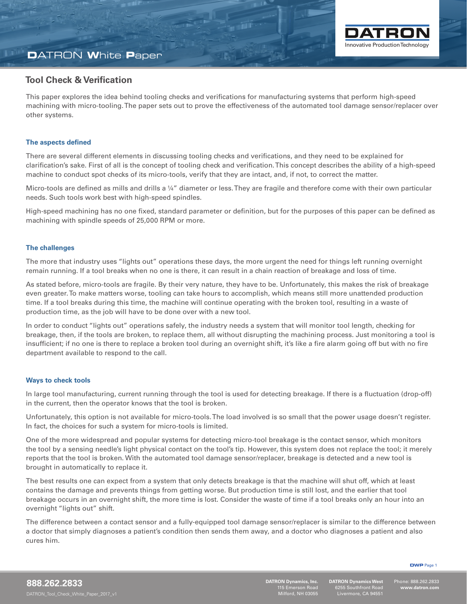

# **D**ATRON **W**hite **P**aper

### **Tool Check & Verification**

This paper explores the idea behind tooling checks and verifications for manufacturing systems that perform high-speed machining with micro-tooling. The paper sets out to prove the effectiveness of the automated tool damage sensor/replacer over other systems.

### **The aspects defined**

There are several different elements in discussing tooling checks and verifications, and they need to be explained for clarification's sake. First of all is the concept of tooling check and verification. This concept describes the ability of a high-speed machine to conduct spot checks of its micro-tools, verify that they are intact, and, if not, to correct the matter.

Micro-tools are defined as mills and drills a 1/4" diameter or less. They are fragile and therefore come with their own particular needs. Such tools work best with high-speed spindles.

High-speed machining has no one fixed, standard parameter or definition, but for the purposes of this paper can be defined as machining with spindle speeds of 25,000 RPM or more.

#### **The challenges**

The more that industry uses "lights out" operations these days, the more urgent the need for things left running overnight remain running. If a tool breaks when no one is there, it can result in a chain reaction of breakage and loss of time.

As stated before, micro-tools are fragile. By their very nature, they have to be. Unfortunately, this makes the risk of breakage even greater. To make matters worse, tooling can take hours to accomplish, which means still more unattended production time. If a tool breaks during this time, the machine will continue operating with the broken tool, resulting in a waste of production time, as the job will have to be done over with a new tool.

In order to conduct "lights out" operations safely, the industry needs a system that will monitor tool length, checking for breakage, then, if the tools are broken, to replace them, all without disrupting the machining process. Just monitoring a tool is insufficient; if no one is there to replace a broken tool during an overnight shift, it's like a fire alarm going off but with no fire department available to respond to the call.

#### **Ways to check tools**

In large tool manufacturing, current running through the tool is used for detecting breakage. If there is a fluctuation (drop-off) in the current, then the operator knows that the tool is broken.

Unfortunately, this option is not available for micro-tools. The load involved is so small that the power usage doesn't register. In fact, the choices for such a system for micro-tools is limited.

One of the more widespread and popular systems for detecting micro-tool breakage is the contact sensor, which monitors the tool by a sensing needle's light physical contact on the tool's tip. However, this system does not replace the tool; it merely reports that the tool is broken. With the automated tool damage sensor/replacer, breakage is detected and a new tool is brought in automatically to replace it.

The best results one can expect from a system that only detects breakage is that the machine will shut off, which at least contains the damage and prevents things from getting worse. But production time is still lost, and the earlier that tool breakage occurs in an overnight shift, the more time is lost. Consider the waste of time if a tool breaks only an hour into an overnight "lights out" shift.

The difference between a contact sensor and a fully-equipped tool damage sensor/replacer is similar to the difference between a doctor that simply diagnoses a patient's condition then sends them away, and a doctor who diagnoses a patient and also cures him.

**DWP** Page 1

l

**DATRON Dynamics West** 6255 Southfront Road Livermore, CA 94551

Phone: 888.262.2833 **www.datron.com**